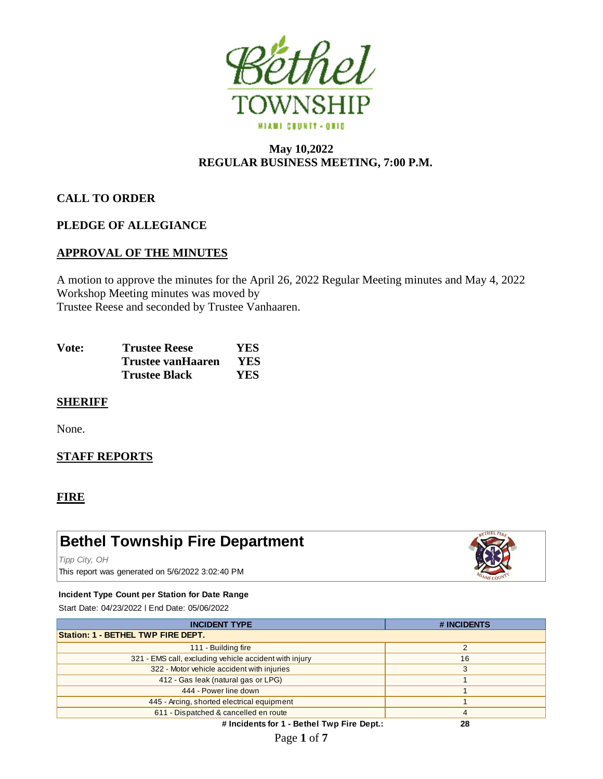

# **May 10,2022 REGULAR BUSINESS MEETING, 7:00 P.M.**

# **CALL TO ORDER**

# **PLEDGE OF ALLEGIANCE**

# **APPROVAL OF THE MINUTES**

A motion to approve the minutes for the April 26, 2022 Regular Meeting minutes and May 4, 2022 Workshop Meeting minutes was moved by Trustee Reese and seconded by Trustee Vanhaaren.

| Vote: | <b>Trustee Reese</b> | YES.       |
|-------|----------------------|------------|
|       | Trustee vanHaaren    | YES        |
|       | <b>Trustee Black</b> | <b>YES</b> |

# **SHERIFF**

None.

# **STAFF REPORTS**

# **FIRE**

# **Bethel Township Fire Department**

*Tipp City, OH*

This report was generated on 5/6/2022 3:02:40 PM

#### **Incident Type Count per Station for Date Range**

Start Date: 04/23/2022 | End Date: 05/06/2022

| <b>INCIDENT TYPE</b>                                   | # INCIDENTS    |  |  |  |
|--------------------------------------------------------|----------------|--|--|--|
| Station: 1 - BETHEL TWP FIRE DEPT.                     |                |  |  |  |
| 111 - Building fire                                    | $\overline{2}$ |  |  |  |
| 321 - EMS call, excluding vehicle accident with injury | 16             |  |  |  |
| 322 - Motor vehicle accident with injuries             | 3              |  |  |  |
| 412 - Gas leak (natural gas or LPG)                    |                |  |  |  |
| 444 - Power line down                                  |                |  |  |  |
| 445 - Arcing, shorted electrical equipment             |                |  |  |  |
| 611 - Dispatched & cancelled en route                  | 4              |  |  |  |
| # Incidents for 1 - Bethel Twp Fire Dept.:             | 28             |  |  |  |

**# Incidents for 1 - Bethel Twp Fire Dept.:**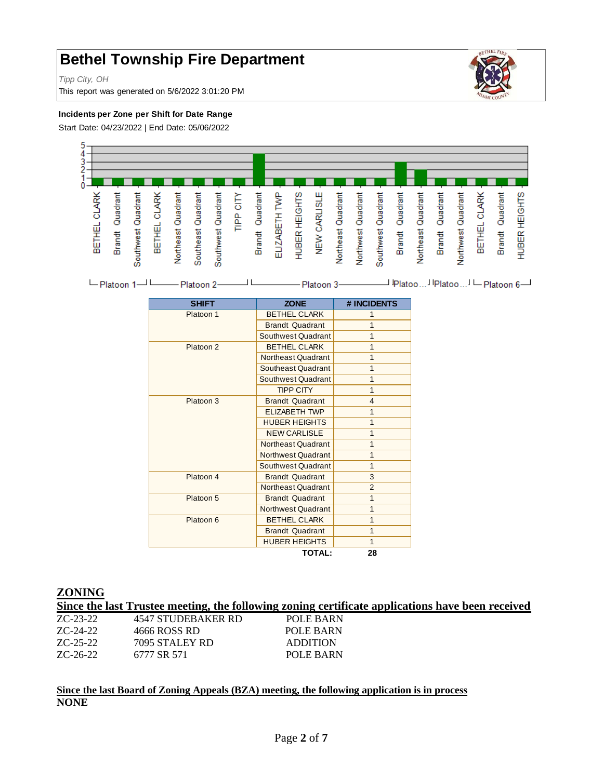# **Bethel Township Fire Department**

*Tipp City, OH*

This report was generated on 5/6/2022 3:01:20 PM



#### **Incidents per Zone per Shift for Date Range**

Start Date: 04/23/2022 | End Date: 05/06/2022



| -Platoon 2-<br>$L$ Platoon 1 $L$ | Platoon 3- | I IPlatoo I IPlatoo I - Platoon 6- |
|----------------------------------|------------|------------------------------------|
|----------------------------------|------------|------------------------------------|

| <b>SHIFT</b> | <b>ZONE</b>            | # INCIDENTS    |
|--------------|------------------------|----------------|
| Platoon 1    | <b>BETHEL CLARK</b>    | 1              |
|              | <b>Brandt Quadrant</b> | 1              |
|              | Southwest Quadrant     | 1              |
| Platoon 2    | <b>BETHEL CLARK</b>    | 1              |
|              | Northeast Quadrant     | 1              |
|              | Southeast Quadrant     | $\overline{1}$ |
|              | Southwest Quadrant     | 1              |
|              | <b>TIPP CITY</b>       | 1              |
| Platoon 3    | <b>Brandt Quadrant</b> | 4              |
|              | <b>ELIZABETH TWP</b>   | 1              |
|              | <b>HUBER HEIGHTS</b>   | 1              |
|              | <b>NEW CARLISLE</b>    | 1              |
|              | Northeast Quadrant     | 1              |
|              | Northwest Quadrant     | 1              |
|              | Southwest Quadrant     | 1              |
| Platoon 4    | <b>Brandt Quadrant</b> | 3              |
|              | Northeast Quadrant     | $\overline{2}$ |
| Platoon 5    | <b>Brandt Quadrant</b> | 1              |
|              | Northwest Quadrant     | 1              |
| Platoon 6    | <b>BETHEL CLARK</b>    | 1              |
|              | <b>Brandt Quadrant</b> | 1              |
|              | <b>HUBER HEIGHTS</b>   | $\mathbf{1}$   |
|              | <b>TOTAL:</b>          | 28             |

#### **ZONING**

**Since the last Trustee meeting, the following zoning certificate applications have been received**

| ZC-23-22 | 4547 STUDEBAKER RD | POLE BARN       |
|----------|--------------------|-----------------|
| ZC-24-22 | 4666 ROSS RD       | POLE BARN       |
| ZC-25-22 | 7095 STALEY RD     | <b>ADDITION</b> |
| ZC-26-22 | 6777 SR 571        | POLE BARN       |
|          |                    |                 |

# **Since the last Board of Zoning Appeals (BZA) meeting, the following application is in process NONE**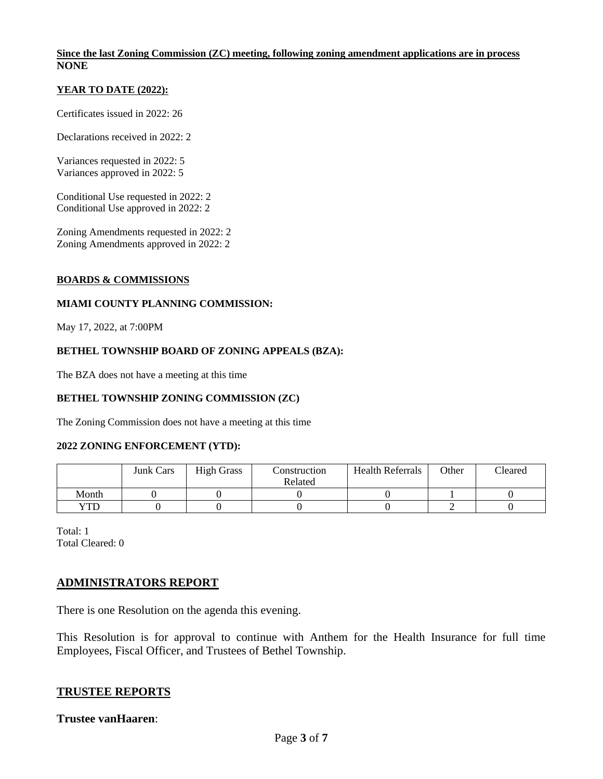#### **Since the last Zoning Commission (ZC) meeting, following zoning amendment applications are in process NONE**

#### **YEAR TO DATE (2022):**

Certificates issued in 2022: 26

Declarations received in 2022: 2

Variances requested in 2022: 5 Variances approved in 2022: 5

Conditional Use requested in 2022: 2 Conditional Use approved in 2022: 2

Zoning Amendments requested in 2022: 2 Zoning Amendments approved in 2022: 2

#### **BOARDS & COMMISSIONS**

#### **MIAMI COUNTY PLANNING COMMISSION:**

May 17, 2022, at 7:00PM

#### **BETHEL TOWNSHIP BOARD OF ZONING APPEALS (BZA):**

The BZA does not have a meeting at this time

#### **BETHEL TOWNSHIP ZONING COMMISSION (ZC)**

The Zoning Commission does not have a meeting at this time

#### **2022 ZONING ENFORCEMENT (YTD):**

|       | <b>Junk Cars</b> | <b>High Grass</b> | Construction | <b>Health Referrals</b> | Other | Cleared |
|-------|------------------|-------------------|--------------|-------------------------|-------|---------|
|       |                  |                   | Related      |                         |       |         |
| Month |                  |                   |              |                         |       |         |
| YTD   |                  |                   |              |                         |       |         |

Total: 1 Total Cleared: 0

#### **ADMINISTRATORS REPORT**

There is one Resolution on the agenda this evening.

This Resolution is for approval to continue with Anthem for the Health Insurance for full time Employees, Fiscal Officer, and Trustees of Bethel Township.

#### **TRUSTEE REPORTS**

## **Trustee vanHaaren**: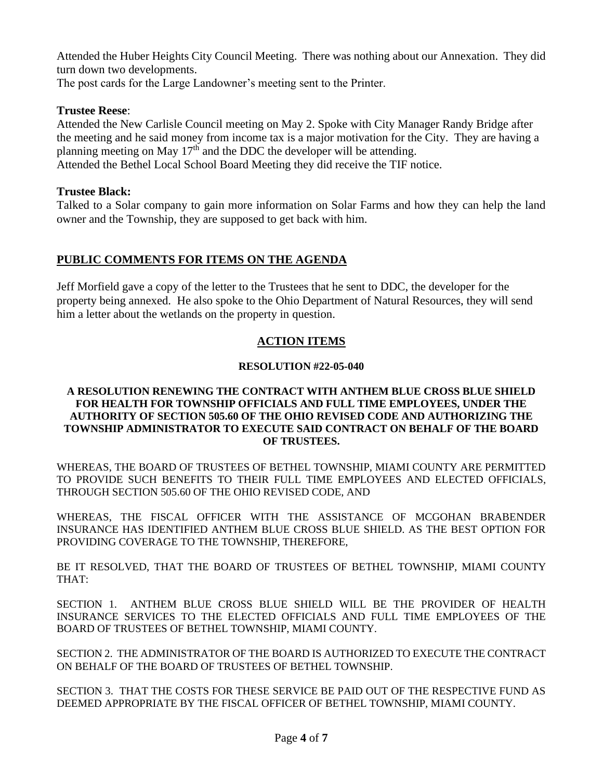Attended the Huber Heights City Council Meeting. There was nothing about our Annexation. They did turn down two developments.

The post cards for the Large Landowner's meeting sent to the Printer.

# **Trustee Reese**:

Attended the New Carlisle Council meeting on May 2. Spoke with City Manager Randy Bridge after the meeting and he said money from income tax is a major motivation for the City. They are having a planning meeting on May  $17<sup>th</sup>$  and the DDC the developer will be attending. Attended the Bethel Local School Board Meeting they did receive the TIF notice.

# **Trustee Black:**

Talked to a Solar company to gain more information on Solar Farms and how they can help the land owner and the Township, they are supposed to get back with him.

# **PUBLIC COMMENTS FOR ITEMS ON THE AGENDA**

Jeff Morfield gave a copy of the letter to the Trustees that he sent to DDC, the developer for the property being annexed. He also spoke to the Ohio Department of Natural Resources, they will send him a letter about the wetlands on the property in question.

# **ACTION ITEMS**

# **RESOLUTION #22-05-040**

### **A RESOLUTION RENEWING THE CONTRACT WITH ANTHEM BLUE CROSS BLUE SHIELD FOR HEALTH FOR TOWNSHIP OFFICIALS AND FULL TIME EMPLOYEES, UNDER THE AUTHORITY OF SECTION 505.60 OF THE OHIO REVISED CODE AND AUTHORIZING THE TOWNSHIP ADMINISTRATOR TO EXECUTE SAID CONTRACT ON BEHALF OF THE BOARD OF TRUSTEES.**

WHEREAS, THE BOARD OF TRUSTEES OF BETHEL TOWNSHIP, MIAMI COUNTY ARE PERMITTED TO PROVIDE SUCH BENEFITS TO THEIR FULL TIME EMPLOYEES AND ELECTED OFFICIALS, THROUGH SECTION 505.60 OF THE OHIO REVISED CODE, AND

WHEREAS, THE FISCAL OFFICER WITH THE ASSISTANCE OF MCGOHAN BRABENDER INSURANCE HAS IDENTIFIED ANTHEM BLUE CROSS BLUE SHIELD. AS THE BEST OPTION FOR PROVIDING COVERAGE TO THE TOWNSHIP, THEREFORE,

BE IT RESOLVED, THAT THE BOARD OF TRUSTEES OF BETHEL TOWNSHIP, MIAMI COUNTY THAT:

SECTION 1. ANTHEM BLUE CROSS BLUE SHIELD WILL BE THE PROVIDER OF HEALTH INSURANCE SERVICES TO THE ELECTED OFFICIALS AND FULL TIME EMPLOYEES OF THE BOARD OF TRUSTEES OF BETHEL TOWNSHIP, MIAMI COUNTY.

SECTION 2. THE ADMINISTRATOR OF THE BOARD IS AUTHORIZED TO EXECUTE THE CONTRACT ON BEHALF OF THE BOARD OF TRUSTEES OF BETHEL TOWNSHIP.

SECTION 3. THAT THE COSTS FOR THESE SERVICE BE PAID OUT OF THE RESPECTIVE FUND AS DEEMED APPROPRIATE BY THE FISCAL OFFICER OF BETHEL TOWNSHIP, MIAMI COUNTY.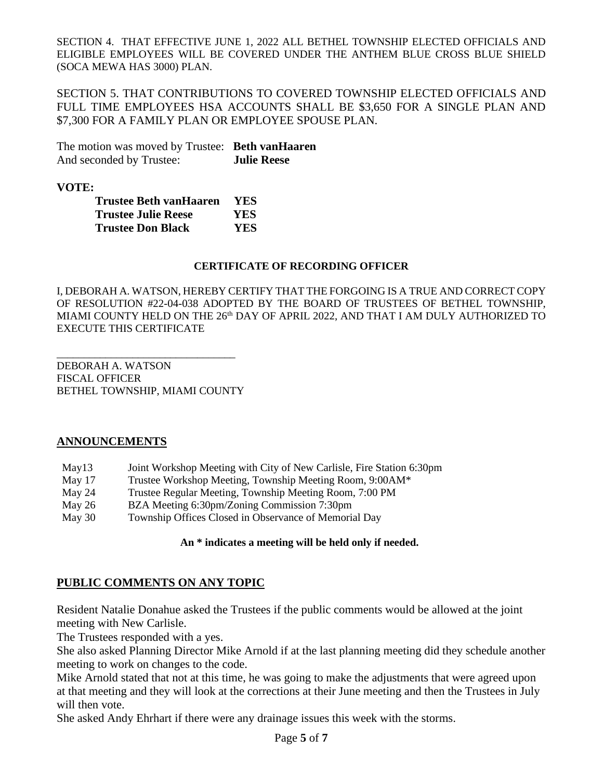SECTION 4. THAT EFFECTIVE JUNE 1, 2022 ALL BETHEL TOWNSHIP ELECTED OFFICIALS AND ELIGIBLE EMPLOYEES WILL BE COVERED UNDER THE ANTHEM BLUE CROSS BLUE SHIELD (SOCA MEWA HAS 3000) PLAN.

SECTION 5. THAT CONTRIBUTIONS TO COVERED TOWNSHIP ELECTED OFFICIALS AND FULL TIME EMPLOYEES HSA ACCOUNTS SHALL BE \$3,650 FOR A SINGLE PLAN AND \$7,300 FOR A FAMILY PLAN OR EMPLOYEE SPOUSE PLAN.

The motion was moved by Trustee: **Beth vanHaaren** And seconded by Trustee: **Julie Reese**

**VOTE:**

| <b>Trustee Beth vanHaaren</b> | <b>YES</b> |
|-------------------------------|------------|
| <b>Trustee Julie Reese</b>    | YES        |
| <b>Trustee Don Black</b>      | YES.       |

### **CERTIFICATE OF RECORDING OFFICER**

I, DEBORAH A. WATSON, HEREBY CERTIFY THAT THE FORGOING IS A TRUE AND CORRECT COPY OF RESOLUTION #22-04-038 ADOPTED BY THE BOARD OF TRUSTEES OF BETHEL TOWNSHIP, MIAMI COUNTY HELD ON THE 26<sup>th</sup> DAY OF APRIL 2022, AND THAT I AM DULY AUTHORIZED TO EXECUTE THIS CERTIFICATE

DEBORAH A. WATSON FISCAL OFFICER BETHEL TOWNSHIP, MIAMI COUNTY

\_\_\_\_\_\_\_\_\_\_\_\_\_\_\_\_\_\_\_\_\_\_\_\_\_\_\_\_\_\_\_\_\_

# **ANNOUNCEMENTS**

| May 13 |  |  | Joint Workshop Meeting with City of New Carlisle, Fire Station 6:30pm |
|--------|--|--|-----------------------------------------------------------------------|
|        |  |  |                                                                       |

- May 17 Trustee Workshop Meeting, Township Meeting Room, 9:00AM\*
- May 24 Trustee Regular Meeting, Township Meeting Room, 7:00 PM
- May 26 BZA Meeting 6:30pm/Zoning Commission 7:30pm
- May 30 Township Offices Closed in Observance of Memorial Day

#### **An \* indicates a meeting will be held only if needed.**

# **PUBLIC COMMENTS ON ANY TOPIC**

Resident Natalie Donahue asked the Trustees if the public comments would be allowed at the joint meeting with New Carlisle.

The Trustees responded with a yes.

She also asked Planning Director Mike Arnold if at the last planning meeting did they schedule another meeting to work on changes to the code.

Mike Arnold stated that not at this time, he was going to make the adjustments that were agreed upon at that meeting and they will look at the corrections at their June meeting and then the Trustees in July will then vote.

She asked Andy Ehrhart if there were any drainage issues this week with the storms.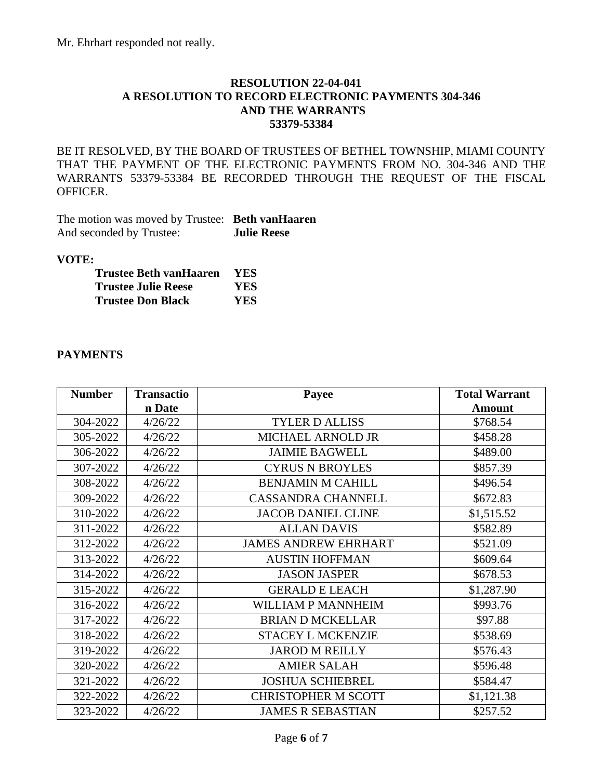# **RESOLUTION 22-04-041 A RESOLUTION TO RECORD ELECTRONIC PAYMENTS 304-346 AND THE WARRANTS 53379-53384**

BE IT RESOLVED, BY THE BOARD OF TRUSTEES OF BETHEL TOWNSHIP, MIAMI COUNTY THAT THE PAYMENT OF THE ELECTRONIC PAYMENTS FROM NO. 304-346 AND THE WARRANTS 53379-53384 BE RECORDED THROUGH THE REQUEST OF THE FISCAL OFFICER.

The motion was moved by Trustee: **Beth vanHaaren** And seconded by Trustee: **Julie Reese**

### **VOTE:**

| Trustee Beth vanHaaren     | <b>YES</b> |
|----------------------------|------------|
| <b>Trustee Julie Reese</b> | YES.       |
| <b>Trustee Don Black</b>   | YES.       |

# **PAYMENTS**

| <b>Number</b> | <b>Transactio</b> | Payee                       | <b>Total Warrant</b> |
|---------------|-------------------|-----------------------------|----------------------|
|               | n Date            |                             | <b>Amount</b>        |
| 304-2022      | 4/26/22           | <b>TYLER D ALLISS</b>       | \$768.54             |
| 305-2022      | 4/26/22           | MICHAEL ARNOLD JR           | \$458.28             |
| 306-2022      | 4/26/22           | <b>JAIMIE BAGWELL</b>       | \$489.00             |
| 307-2022      | 4/26/22           | <b>CYRUS N BROYLES</b>      | \$857.39             |
| 308-2022      | 4/26/22           | <b>BENJAMIN M CAHILL</b>    | \$496.54             |
| 309-2022      | 4/26/22           | <b>CASSANDRA CHANNELL</b>   | \$672.83             |
| 310-2022      | 4/26/22           | <b>JACOB DANIEL CLINE</b>   | \$1,515.52           |
| 311-2022      | 4/26/22           | <b>ALLAN DAVIS</b>          | \$582.89             |
| 312-2022      | 4/26/22           | <b>JAMES ANDREW EHRHART</b> | \$521.09             |
| 313-2022      | 4/26/22           | <b>AUSTIN HOFFMAN</b>       | \$609.64             |
| 314-2022      | 4/26/22           | <b>JASON JASPER</b>         | \$678.53             |
| 315-2022      | 4/26/22           | <b>GERALD E LEACH</b>       | \$1,287.90           |
| 316-2022      | 4/26/22           | WILLIAM P MANNHEIM          | \$993.76             |
| 317-2022      | 4/26/22           | <b>BRIAN D MCKELLAR</b>     | \$97.88              |
| 318-2022      | 4/26/22           | <b>STACEY L MCKENZIE</b>    | \$538.69             |
| 319-2022      | 4/26/22           | <b>JAROD M REILLY</b>       | \$576.43             |
| 320-2022      | 4/26/22           | <b>AMIER SALAH</b>          | \$596.48             |
| 321-2022      | 4/26/22           | <b>JOSHUA SCHIEBREL</b>     | \$584.47             |
| 322-2022      | 4/26/22           | <b>CHRISTOPHER M SCOTT</b>  | \$1,121.38           |
| 323-2022      | 4/26/22           | <b>JAMES R SEBASTIAN</b>    | \$257.52             |